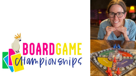# REPARAMENT BOARDGAME

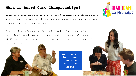# **What is Board Game Championships?**

Board Game Championships is a knock out tournament for classic board game lovers. You get to sit back and relax while the host walks you thought the nights proceedings.

Games will vary between each round from 2 - 6 players including traditional board games, card games and other games of chance or skill. Don't worry if you can't remember the rules, the host takes care of it all.



**You can see the current games on rotation [here](https://www.boardgamechamps.com.au/games)!**

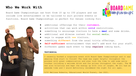# **Who We Work With**

Board Game Championships can host from 10 up to 150 players and can include live entertainment or be tailored to suit private events or functions. Board Game Championships is perfect for venues looking for:





- additional offerings for their **customers**.
- activities that can work within **covid** restrictions.
- something to encourage visitors to have a **meal** and some drinks.
- additional and diverse content for **social media**.
- ways to engage with **new** visitors.
- something **different** from the usual trivia offerings.
- Self-sufficient entertainment that won't add work for your staff.
- Different games each event to keep requlars coming back.

#### **TESTIMONIAL**

I recently booked a corporate event with Board Game Championships and it was amazing from start to finish! The team was super helpful throughout the process with great communication and even took the time to add some extra touches including a welcome drink and fun prizes throughout the night. The MC was also hilarious and kept the energy up with lots of laughs. We all had an awesome time and I would definitely recommend the night for all ages.

5/5! Melissa Roberts, Educational World Travel, Jan 2021.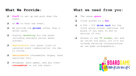### **What We Provide:**

- ❏ **Staff** to set up and pack down the event.
- ❏ An **MC** to host the event.
- ❏ We provide the **prizes** (other than a drink card).
- ❏ Digital **marketing** for the event including sharable social media content.
- ❏ **Registration** incl guest lists or canceled event communication (ie due to Covid).
- ❏ **Sanitization** consumables (wipes, hand sanitizer etc).
- ❏ Notepads, pens games, and any other **consumables** to run the event.

#### **What we need from you:**

- ❏ The venue **space.**
- ❏ Close access to a **bar.**
- ❏ A \$50 \$75 **drink card** for the first place winner (optional 2nd place if you want to but no worries if not)
- ❏ Access to the **TV screen**, mic and an outlet for music (if it's not already existing infrastructure we can make arrangements).

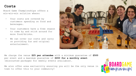# **Costs**

Board Game Championships offers a win-win-win solution where:

- Your costs are covered by customers spending on food and beverages.
- Your customers have a free reason to come by and stick around for more food/drinks.
- We can cover our costs and carry on providing fun and original entertainment.



We charge the venue **\$25 per attendee** with a minimum guarantee of **\$500** per event and a maximum guarantee of **\$650 for a monthly event**  (discounted packages for weekly events available).

We also offer area exclusivity ensuring you will be the only venue in town to offer this to your community!